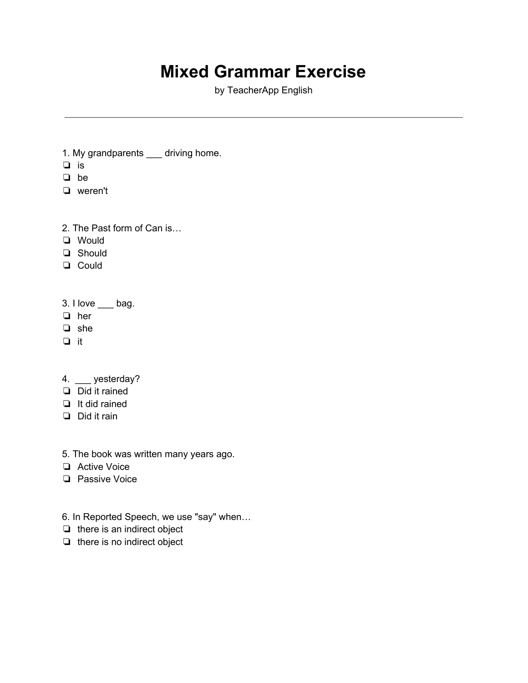## **Mixed Grammar Exercise**

by TeacherApp English

- 1. My grandparents \_\_\_ driving home.
- ❏ is
- ❏ be
- ❏ weren't
- 2. The Past form of Can is…
- ❏ Would
- ❏ Should
- ❏ Could
- $3.$  I love  $\_\_\_$  bag.
- ❏ her
- ❏ she
- ❏ it
- 4. \_\_\_ yesterday?
- ❏ Did it rained
- ❏ It did rained
- ❏ Did it rain
- 5. The book was written many years ago.
- ❏ Active Voice
- ❏ Passive Voice
- 6. In Reported Speech, we use "say" when…
- ❏ there is an indirect object
- ❏ there is no indirect object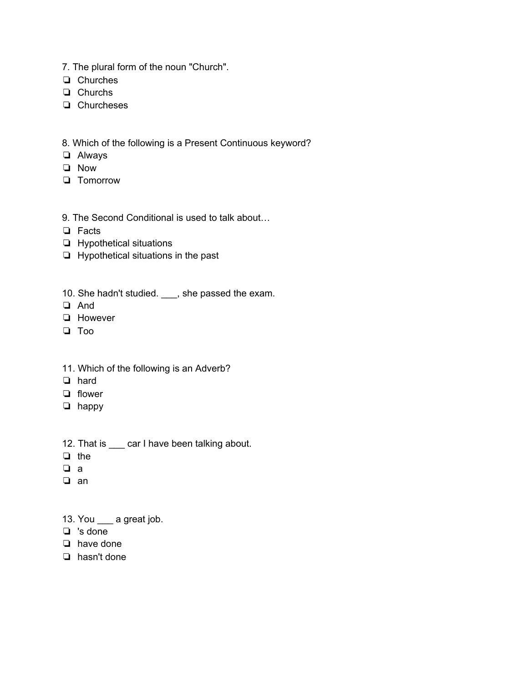- 7. The plural form of the noun "Church".
- ❏ Churches
- ❏ Churchs
- ❏ Churcheses

8. Which of the following is a Present Continuous keyword?

- ❏ Always
- ❏ Now
- ❏ Tomorrow
- 9. The Second Conditional is used to talk about…
- ❏ Facts
- ❏ Hypothetical situations
- ❏ Hypothetical situations in the past
- 10. She hadn't studied. \_\_\_, she passed the exam.
- ❏ And
- ❏ However
- ❏ Too
- 11. Which of the following is an Adverb?
- ❏ hard
- ❏ flower
- ❏ happy
- 12. That is \_\_\_ car I have been talking about.
- ❏ the
- ❏ a
- ❏ an
- 13. You \_\_\_ a great job.
- ❏ 's done
- ❏ have done
- ❏ hasn't done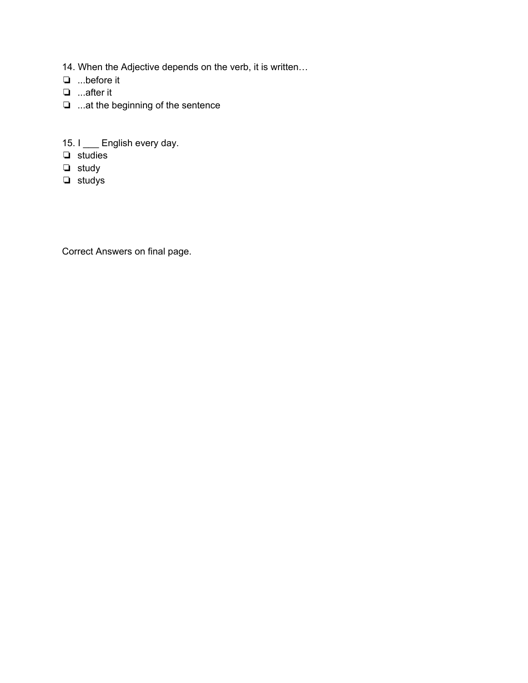- 14. When the Adjective depends on the verb, it is written…
- ❏ ...before it
- ❏ ...after it
- ❏ ...at the beginning of the sentence
- 15. I \_\_\_ English every day.
- ❏ studies
- ❏ study
- ❏ studys

Correct Answers on final page.